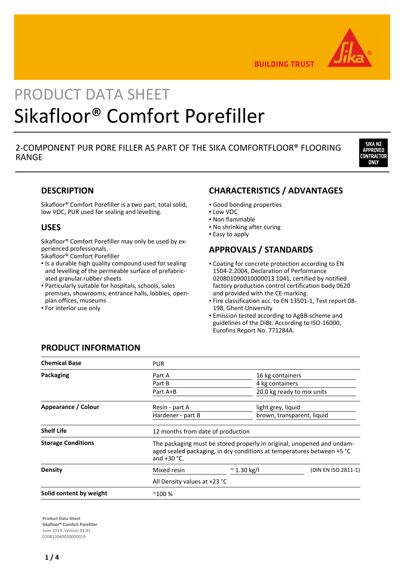

**BUILDING TRUST** 

# PRODUCT DATA SHEET Sikafloor® Comfort Porefiller

# 2-COMPONENT PUR PORE FILLER AS PART OF THE SIKA COMFORTFLOOR® FLOORING RANGE



## **DESCRIPTION**

Sikafloor® Comfort Porefiller is a two part, total solid, low VOC, PUR used for sealing and levelling.

## **USES**

Sikafloor® Comfort Porefiller may only be used by experienced professionals.

Sikafloor® Comfort Porefiller

- **.** Is a durable high quality compound used for sealing and levelling of the permeable surface of prefabricated granular rubber sheets
- Particularly suitable for hospitals, schools, sales premises, showrooms, entrance halls, lobbies, openplan offices, museums
- **For interior use only**

# **CHARACTERISTICS / ADVANTAGES**

- Good bonding properties
- Low VOC
- Non flammable
- No shrinking after curing
- **Easy to apply**

## **APPROVALS / STANDARDS**

- **Coating for concrete protection according to EN** 1504-2:2004, Declaration of Performance 020801090010000013 1041, certified by notified factory production control certification body 0620 and provided with the CE-marking.
- Fire classification acc. to EN 13501-1, Test report 08- 198, Ghent University
- **Emission tested according to AgBB-scheme and** guidelines of the DiBt. According to ISO-16000, Eurofins Report No. 771284A.

# **PRODUCT INFORMATION**

| <b>Chemical Base</b>      | <b>PUR</b>                                                                                                                                                        |                                   |                            |  |  |
|---------------------------|-------------------------------------------------------------------------------------------------------------------------------------------------------------------|-----------------------------------|----------------------------|--|--|
| Packaging                 | Part A                                                                                                                                                            |                                   | 16 kg containers           |  |  |
|                           | Part B                                                                                                                                                            |                                   | 4 kg containers            |  |  |
|                           | Part A+B                                                                                                                                                          |                                   | 20.0 kg ready to mix units |  |  |
| Appearance / Colour       | Resin - part A                                                                                                                                                    |                                   | light grey, liquid         |  |  |
|                           | Hardener - part B                                                                                                                                                 |                                   | brown, transparent, liquid |  |  |
| <b>Shelf Life</b>         |                                                                                                                                                                   | 12 months from date of production |                            |  |  |
| <b>Storage Conditions</b> | The packaging must be stored properly in original, unopened and undam-<br>aged sealed packaging, in dry conditions at temperatures between +5 °C<br>and $+30$ °C. |                                   |                            |  |  |
| Density                   | Mixed resin                                                                                                                                                       | $\approx$ 1.30 kg/l               | (DIN EN ISO 2811-1)        |  |  |
|                           | All Density values at +23 °C                                                                                                                                      |                                   |                            |  |  |
| Solid content by weight   | $^{\sim}100%$                                                                                                                                                     |                                   |                            |  |  |

**Product Data Sheet** Sikafloor® Comfort Porefiller June 2019, Version 01.01 020812040020000019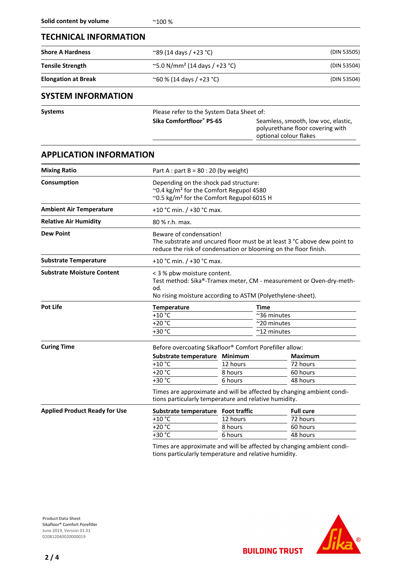### **TECHNICAL INFORMATION**

| <b>Shore A Hardness</b>                               | $^{\circ}89$ (14 days / +23 $^{\circ}$ C)       | (DIN 53505)<br>(DIN 53504)<br>(DIN 53504) |  |
|-------------------------------------------------------|-------------------------------------------------|-------------------------------------------|--|
| <b>Tensile Strength</b><br><b>Elongation at Break</b> | $\sim$ 5.0 N/mm <sup>2</sup> (14 days / +23 °C) |                                           |  |
|                                                       | $^{\circ}$ 60 % (14 days / +23 °C)              |                                           |  |

## **SYSTEM INFORMATION**

| <b>Systems</b> | Please refer to the System Data Sheet of: |                                                                                                   |  |
|----------------|-------------------------------------------|---------------------------------------------------------------------------------------------------|--|
|                | Sika Comfortfloor® PS-65                  | Seamless, smooth, low voc, elastic,<br>polyurethane floor covering with<br>optional colour flakes |  |

## **APPLICATION INFORMATION**

| <b>Mixing Ratio</b>                  |                                                                                                                                                       | Part A : part B = $80:20$ (by weight)                                                                                                                                   |                                                                             |  |  |
|--------------------------------------|-------------------------------------------------------------------------------------------------------------------------------------------------------|-------------------------------------------------------------------------------------------------------------------------------------------------------------------------|-----------------------------------------------------------------------------|--|--|
| Consumption                          | Depending on the shock pad structure:<br>~0.4 kg/m <sup>2</sup> for the Comfort Regupol 4580<br>~0.5 kg/m <sup>2</sup> for the Comfort Regupol 6015 H |                                                                                                                                                                         |                                                                             |  |  |
| <b>Ambient Air Temperature</b>       |                                                                                                                                                       | +10 °C min. $/$ +30 °C max.                                                                                                                                             |                                                                             |  |  |
| <b>Relative Air Humidity</b>         | 80 % r.h. max.                                                                                                                                        |                                                                                                                                                                         |                                                                             |  |  |
| <b>Dew Point</b>                     |                                                                                                                                                       | Beware of condensation!<br>The substrate and uncured floor must be at least 3 °C above dew point to<br>reduce the risk of condensation or blooming on the floor finish. |                                                                             |  |  |
| <b>Substrate Temperature</b>         |                                                                                                                                                       | +10 °C min. $/$ +30 °C max.                                                                                                                                             |                                                                             |  |  |
| <b>Substrate Moisture Content</b>    | od.                                                                                                                                                   | < 3 % pbw moisture content.<br>Test method: Sika®-Tramex meter, CM - measurement or Oven-dry-meth-<br>No rising moisture according to ASTM (Polyethylene-sheet).        |                                                                             |  |  |
| <b>Pot Life</b>                      | Temperature<br>$+10$ °C<br>$+20 °C$<br>+30 °C                                                                                                         |                                                                                                                                                                         | <b>Time</b><br>~36 minutes<br>$^{\sim}$ 20 minutes<br>$~^{\sim}$ 12 minutes |  |  |
| <b>Curing Time</b>                   | Before overcoating Sikafloor® Comfort Porefiller allow:                                                                                               |                                                                                                                                                                         |                                                                             |  |  |
|                                      | Substrate temperature Minimum                                                                                                                         |                                                                                                                                                                         | <b>Maximum</b>                                                              |  |  |
|                                      | $+10$ °C                                                                                                                                              | 12 hours                                                                                                                                                                | 72 hours                                                                    |  |  |
|                                      | $+20 °C$                                                                                                                                              | 8 hours                                                                                                                                                                 | 60 hours                                                                    |  |  |
|                                      | +30 °C                                                                                                                                                | 6 hours                                                                                                                                                                 | 48 hours                                                                    |  |  |
|                                      | Times are approximate and will be affected by changing ambient condi-<br>tions particularly temperature and relative humidity.                        |                                                                                                                                                                         |                                                                             |  |  |
| <b>Applied Product Ready for Use</b> | Substrate temperature Foot traffic                                                                                                                    |                                                                                                                                                                         | <b>Full cure</b>                                                            |  |  |
|                                      | $+10$ °C                                                                                                                                              | 12 hours                                                                                                                                                                | 72 hours                                                                    |  |  |
|                                      | $+20 °C$                                                                                                                                              | 8 hours                                                                                                                                                                 | 60 hours                                                                    |  |  |
|                                      | $+30 °C$                                                                                                                                              | 6 hours                                                                                                                                                                 | 48 hours                                                                    |  |  |
|                                      |                                                                                                                                                       |                                                                                                                                                                         |                                                                             |  |  |

Times are approximate and will be affected by changing ambient conditions particularly temperature and relative humidity.

**BUILDING TRUST** 



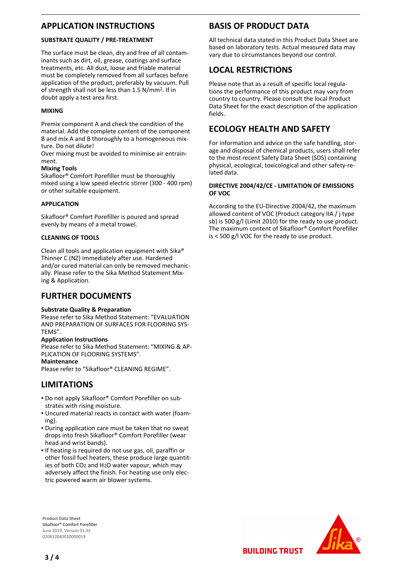## **APPLICATION INSTRUCTIONS**

#### **SUBSTRATE QUALITY / PRE-TREATMENT**

The surface must be clean, dry and free of all contaminants such as dirt, oil, grease, coatings and surface treatments, etc. All dust, loose and friable material must be completely removed from all surfaces before application of the product, preferably by vacuum. Pull of strength shall not be less than 1.5 N/mm2. If in doubt apply a test area first.

#### **MIXING**

Premix component A and check the condition of the material. Add the complete content of the component B and mix A and B thoroughly to a homogeneous mixture. Do not dilute!

Over mixing must be avoided to minimise air entrainment.

#### **Mixing Tools**

Sikafloor® Comfort Porefiller must be thoroughly mixed using a low speed electric stirrer (300 - 400 rpm) or other suitable equipment.

#### **APPLICATION**

Sikafloor® Comfort Porefiller is poured and spread evenly by means of a metal trowel.

#### **CLEANING OF TOOLS**

Clean all tools and application equipment with Sika® Thinner C (NZ) immediately after use. Hardened and/or cured material can only be removed mechanically. Please refer to the Sika Method Statement Mixing & Application.

## **FURTHER DOCUMENTS**

#### **Substrate Quality & Preparation**

Please refer to Sika Method Statement: "EVALUATION AND PREPARATION OF SURFACES FOR FLOORING SYS-TEMS".

#### **Application Instructions**

Please refer to Sika Method Statement: "MIXING & AP-PLICATION OF FLOORING SYSTEMS". **Maintenance**

Please refer to "Sikafloor® CLEANING REGIME".

## **LIMITATIONS**

- Do not apply Sikafloor® Comfort Porefiller on sub-▪ strates with rising moisture.
- Uncured material reacts in contact with water (foam-▪ ing).
- During application care must be taken that no sweat drops into fresh Sikafloor® Comfort Porefiller (wear head and wrist bands).
- **.** If heating is required do not use gas, oil, paraffin or other fossil fuel heaters, these produce large quantities of both CO2 and H2O water vapour, which may adversely affect the finish. For heating use only electric powered warm air blower systems.

**Product Data Sheet** Sikafloor® Comfort Porefiller June 2019, Version 01.01 020812040020000019

## **BASIS OF PRODUCT DATA**

All technical data stated in this Product Data Sheet are based on laboratory tests. Actual measured data may vary due to circumstances beyond our control.

# **LOCAL RESTRICTIONS**

Please note that as a result of specific local regulations the performance of this product may vary from country to country. Please consult the local Product Data Sheet for the exact description of the application fields.

## **ECOLOGY HEALTH AND SAFETY**

For information and advice on the safe handling, storage and disposal of chemical products, users shall refer to the most recent Safety Data Sheet (SDS) containing physical, ecological, toxicological and other safety-related data.

#### **DIRECTIVE 2004/42/CE - LIMITATION OF EMISSIONS OF VOC**

According to the EU-Directive 2004/42, the maximum allowed content of VOC (Product category IIA / j type sb) is 500 g/l (Limit 2010) for the ready to use product. The maximum content of Sikafloor® Comfort Porefiller is < 500 g/l VOC for the ready to use product.



**BUILDING TRUST**